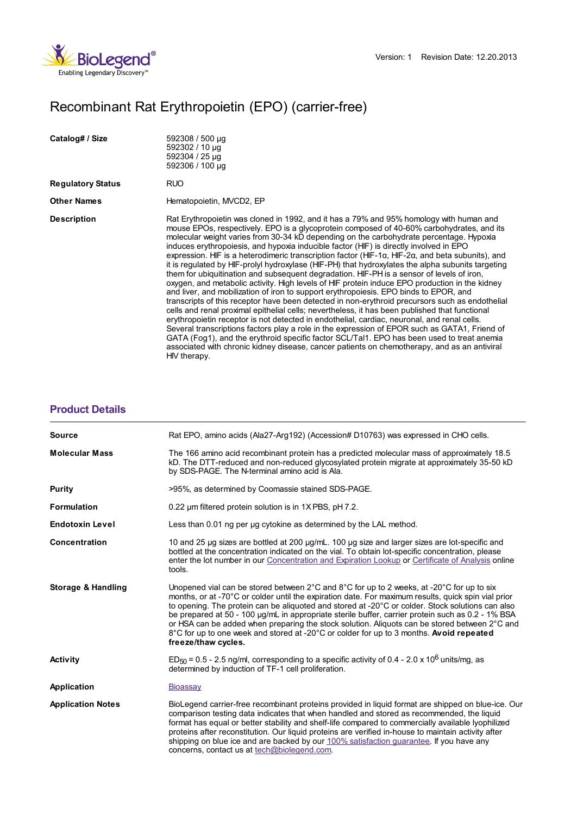

## Recombinant Rat Erythropoietin (EPO) (carrier-free)

HIV therapy.

| Catalog# / Size   | 592308 / 500 µg<br>592302 / 10 µg<br>592304 / 25 µg<br>592306 / 100 µg                                                                                                                                                                                                                                                                                                                                                                                                                                                                                                                                                                                                                                                                                                                                                                                                                                                                                                                                                                                                                                                                                                                                                                                                                                                                                                                                                                                                                          |
|-------------------|-------------------------------------------------------------------------------------------------------------------------------------------------------------------------------------------------------------------------------------------------------------------------------------------------------------------------------------------------------------------------------------------------------------------------------------------------------------------------------------------------------------------------------------------------------------------------------------------------------------------------------------------------------------------------------------------------------------------------------------------------------------------------------------------------------------------------------------------------------------------------------------------------------------------------------------------------------------------------------------------------------------------------------------------------------------------------------------------------------------------------------------------------------------------------------------------------------------------------------------------------------------------------------------------------------------------------------------------------------------------------------------------------------------------------------------------------------------------------------------------------|
| Regulatory Status | RUO.                                                                                                                                                                                                                                                                                                                                                                                                                                                                                                                                                                                                                                                                                                                                                                                                                                                                                                                                                                                                                                                                                                                                                                                                                                                                                                                                                                                                                                                                                            |
| Other Names       | Hematopoietin, MVCD2, EP                                                                                                                                                                                                                                                                                                                                                                                                                                                                                                                                                                                                                                                                                                                                                                                                                                                                                                                                                                                                                                                                                                                                                                                                                                                                                                                                                                                                                                                                        |
| Description       | Rat Erythropoietin was cloned in 1992, and it has a 79% and 95% homology with human and<br>mouse EPOs, respectively. EPO is a glycoprotein composed of 40-60% carbohydrates, and its<br>molecular weight varies from 30-34 kD depending on the carbohydrate percentage. Hypoxia<br>induces erythropoiesis, and hypoxia inducible factor (HIF) is directly involved in EPO<br>expression. HIF is a heterodimeric transcription factor (HIF-1 $\alpha$ , HIF-2 $\alpha$ , and beta subunits), and<br>it is regulated by HIF-prolyl hydroxylase (HIF-PH) that hydroxylates the alpha subunits targeting<br>them for ubiquitination and subsequent degradation. HIF-PH is a sensor of levels of iron,<br>oxygen, and metabolic activity. High levels of HIF protein induce EPO production in the kidney<br>and liver, and mobilization of iron to support erythropoiesis. EPO binds to EPOR, and<br>transcripts of this receptor have been detected in non-erythroid precursors such as endothelial<br>cells and renal proximal epithelial cells; nevertheless, it has been published that functional<br>erythropoietin receptor is not detected in endothelial, cardiac, neuronal, and renal cells.<br>Several transcriptions factors play a role in the expression of EPOR such as GATA1, Friend of<br>GATA (Fog1), and the erythroid specific factor SCL/Tal1. EPO has been used to treat anemia<br>associated with chronic kidney disease, cancer patients on chemotherapy, and as an antiviral |

## **[Product](https://production-dynamicweb.biolegend.com/de-at/products/recombinant-rat-erythropoietin-epo-carrier-free-9152?pdf=true&displayInline=true&leftRightMargin=15&topBottomMargin=15&filename=Recombinant Rat Erythropoietin (EPO) (carrier-free).pdf#productDetails) Details**

| Rat EPO, amino acids (Ala27-Arg192) (Accession# D10763) was expressed in CHO cells.                                                                                                                                                                                                                                                                                                                                                                                                                                                                                                                                          |
|------------------------------------------------------------------------------------------------------------------------------------------------------------------------------------------------------------------------------------------------------------------------------------------------------------------------------------------------------------------------------------------------------------------------------------------------------------------------------------------------------------------------------------------------------------------------------------------------------------------------------|
| The 166 amino acid recombinant protein has a predicted molecular mass of approximately 18.5<br>kD. The DTT-reduced and non-reduced glycosylated protein migrate at approximately 35-50 kD<br>by SDS-PAGE. The N-terminal amino acid is Ala.                                                                                                                                                                                                                                                                                                                                                                                  |
| >95%, as determined by Coomassie stained SDS-PAGE.                                                                                                                                                                                                                                                                                                                                                                                                                                                                                                                                                                           |
| 0.22 um filtered protein solution is in 1X PBS, pH 7.2.                                                                                                                                                                                                                                                                                                                                                                                                                                                                                                                                                                      |
| Less than 0.01 ng per ug cytokine as determined by the LAL method.                                                                                                                                                                                                                                                                                                                                                                                                                                                                                                                                                           |
| 10 and 25 µg sizes are bottled at 200 µg/mL. 100 µg size and larger sizes are lot-specific and<br>bottled at the concentration indicated on the vial. To obtain lot-specific concentration, please<br>enter the lot number in our Concentration and Expiration Lookup or Certificate of Analysis online<br>tools.                                                                                                                                                                                                                                                                                                            |
| Unopened vial can be stored between 2°C and 8°C for up to 2 weeks, at -20°C for up to six<br>months, or at -70°C or colder until the expiration date. For maximum results, quick spin vial prior<br>to opening. The protein can be aliquoted and stored at -20°C or colder. Stock solutions can also<br>be prepared at 50 - 100 µg/mL in appropriate sterile buffer, carrier protein such as 0.2 - 1% BSA<br>or HSA can be added when preparing the stock solution. Aliquots can be stored between 2°C and<br>8°C for up to one week and stored at -20°C or colder for up to 3 months. Avoid repeated<br>freeze/thaw cycles. |
| $ED_{50}$ = 0.5 - 2.5 ng/ml, corresponding to a specific activity of 0.4 - 2.0 x 10 <sup>6</sup> units/mg, as<br>determined by induction of TF-1 cell proliferation.                                                                                                                                                                                                                                                                                                                                                                                                                                                         |
| Bioassay                                                                                                                                                                                                                                                                                                                                                                                                                                                                                                                                                                                                                     |
| BioLegend carrier-free recombinant proteins provided in liquid format are shipped on blue-ice. Our<br>comparison testing data indicates that when handled and stored as recommended, the liquid<br>format has equal or better stability and shelf-life compared to commercially available lyophilized<br>proteins after reconstitution. Our liquid proteins are verified in-house to maintain activity after<br>shipping on blue ice and are backed by our 100% satisfaction guarantee. If you have any<br>concerns, contact us at tech@biolegend.com.                                                                       |
|                                                                                                                                                                                                                                                                                                                                                                                                                                                                                                                                                                                                                              |